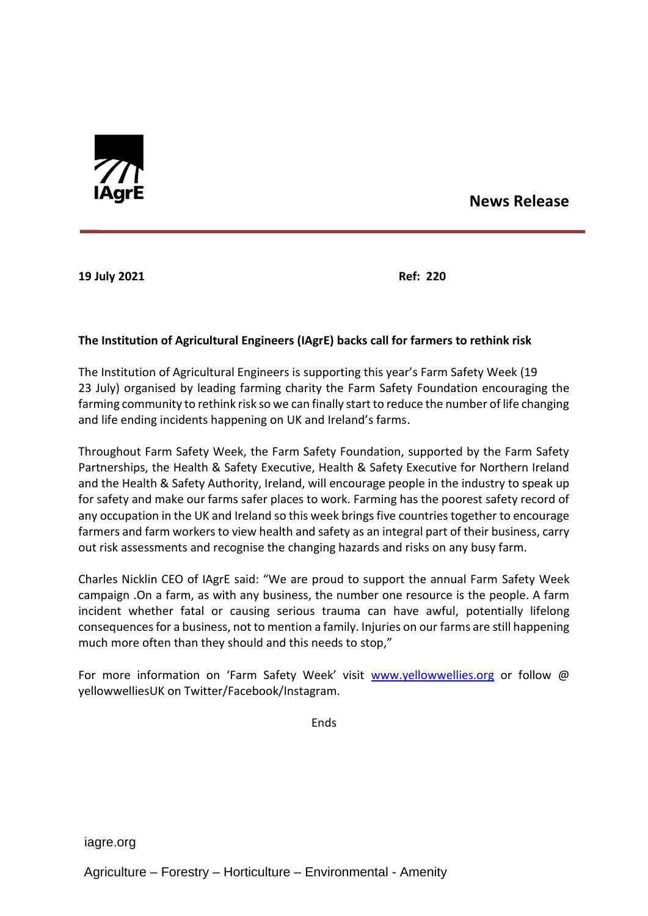

## **News Release**

**19 July 2021 Ref: 220**

## **The Institution of Agricultural Engineers (IAgrE) backs call for farmers to rethink risk**

The Institution of Agricultural Engineers is supporting this year's Farm Safety Week (19 23 July) organised by leading farming charity the Farm Safety Foundation encouraging the farming community to rethink risk so we can finally start to reduce the number of life changing and life ending incidents happening on UK and Ireland's farms.

Throughout Farm Safety Week, the Farm Safety Foundation, supported by the Farm Safety Partnerships, the Health & Safety Executive, Health & Safety Executive for Northern Ireland and the Health & Safety Authority, Ireland, will encourage people in the industry to speak up for safety and make our farms safer places to work. Farming has the poorest safety record of any occupation in the UK and Ireland so this week brings five countries together to encourage farmers and farm workers to view health and safety as an integral part of their business, carry out risk assessments and recognise the changing hazards and risks on any busy farm.

Charles Nicklin CEO of IAgrE said: "We are proud to support the annual Farm Safety Week campaign .On a farm, as with any business, the number one resource is the people. A farm incident whether fatal or causing serious trauma can have awful, potentially lifelong consequences for a business, not to mention a family. Injuries on our farms are still happening much more often than they should and this needs to stop,"

For more information on 'Farm Safety Week' visit [www.yellowwellies.org](http://www.yellowwellies.org/) or follow @ yellowwelliesUK on Twitter/Facebook/Instagram.

**Ends**